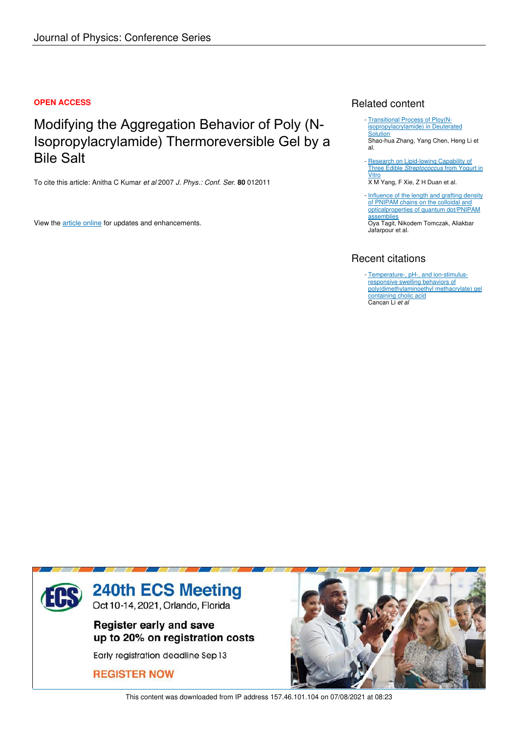# **OPEN ACCESS**

Modifying the Aggregation Behavior of Poly (N-Isopropylacrylamide) Thermoreversible Gel by a Bile Salt

To cite this article: Anitha C Kumar *et al* 2007 *J. Phys.: Conf. Ser.* **80** 012011

View the article online for updates and enhancements.

# Related content

- Transitional Process of Ploy(Nisopropylacrylamide) in Deuterated **Solution**
- Shao-hua Zhang, Yang Chen, Heng Li et al.
- Research on Lipid-lowing Capability of Three Edible *Streptococcus* from Yogurt in <u>Vitro</u> X M Yang, F Xie, Z H Duan et al. -
- Influence of the length and grafting density of PNIPAM chains on the colloidal and opticalproperties of quantum dot/PNIPAM **assemblies** Oya Tagit, Nikodem Tomczak, Aliakbar Jafarpour et al.

# Recent citations

- Temperature-, pH-, and ion-stimulusresponsive swelling behaviors of poly(dimethylaminoethyl methacrylate) gel containing cholic acid Cancan Li *et al*



This content was downloaded from IP address 157.46.101.104 on 07/08/2021 at 08:23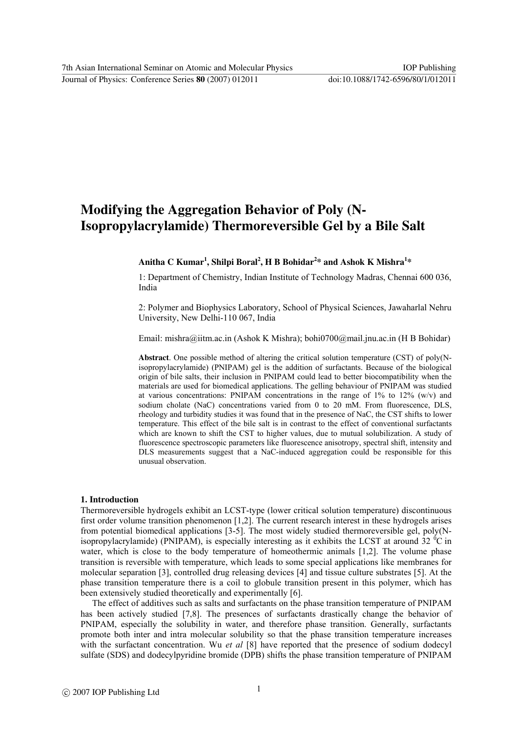# **Modifying the Aggregation Behavior of Poly (N-Isopropylacrylamide) Thermoreversible Gel by a Bile Salt**

# **Anitha C Kumar<sup>1</sup> , Shilpi Boral<sup>2</sup> , H B Bohidar<sup>2</sup> \* and Ashok K Mishra<sup>1</sup> \***

1: Department of Chemistry, Indian Institute of Technology Madras, Chennai 600 036, India

2: Polymer and Biophysics Laboratory, School of Physical Sciences, Jawaharlal Nehru University, New Delhi-110 067, India

Email: mishra@iitm.ac.in (Ashok K Mishra); bohi0700@mail.jnu.ac.in (H B Bohidar)

**Abstract**. One possible method of altering the critical solution temperature (CST) of poly(Nisopropylacrylamide) (PNIPAM) gel is the addition of surfactants. Because of the biological origin of bile salts, their inclusion in PNIPAM could lead to better biocompatibility when the materials are used for biomedical applications. The gelling behaviour of PNIPAM was studied at various concentrations: PNIPAM concentrations in the range of 1% to 12% (w/v) and sodium cholate (NaC) concentrations varied from 0 to 20 mM. From fluorescence, DLS, rheology and turbidity studies it was found that in the presence of NaC, the CST shifts to lower temperature. This effect of the bile salt is in contrast to the effect of conventional surfactants which are known to shift the CST to higher values, due to mutual solubilization. A study of fluorescence spectroscopic parameters like fluorescence anisotropy, spectral shift, intensity and DLS measurements suggest that a NaC-induced aggregation could be responsible for this unusual observation.

## **1. Introduction**

Thermoreversible hydrogels exhibit an LCST-type (lower critical solution temperature) discontinuous first order volume transition phenomenon [1,2]. The current research interest in these hydrogels arises from potential biomedical applications [3-5]. The most widely studied thermoreversible gel, poly(Nisopropylacrylamide) (PNIPAM), is especially interesting as it exhibits the LCST at around 32  $\mathrm{^0C}$  in water, which is close to the body temperature of homeothermic animals [1,2]. The volume phase transition is reversible with temperature, which leads to some special applications like membranes for molecular separation [3], controlled drug releasing devices [4] and tissue culture substrates [5]. At the phase transition temperature there is a coil to globule transition present in this polymer, which has been extensively studied theoretically and experimentally [6].

The effect of additives such as salts and surfactants on the phase transition temperature of PNIPAM has been actively studied [7,8]. The presences of surfactants drastically change the behavior of PNIPAM, especially the solubility in water, and therefore phase transition. Generally, surfactants promote both inter and intra molecular solubility so that the phase transition temperature increases with the surfactant concentration. Wu *et al* [8] have reported that the presence of sodium dodecyl sulfate (SDS) and dodecylpyridine bromide (DPB) shifts the phase transition temperature of PNIPAM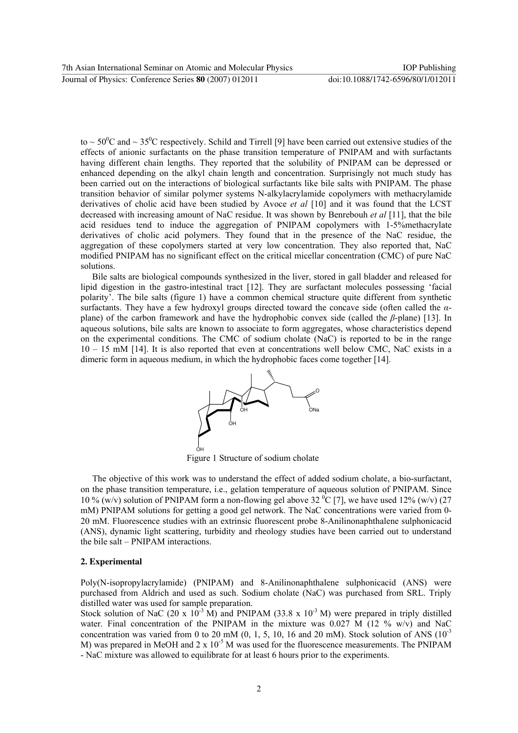to  $\sim$  50<sup>0</sup>C and  $\sim$  35<sup>0</sup>C respectively. Schild and Tirrell [9] have been carried out extensive studies of the effects of anionic surfactants on the phase transition temperature of PNIPAM and with surfactants having different chain lengths. They reported that the solubility of PNIPAM can be depressed or enhanced depending on the alkyl chain length and concentration. Surprisingly not much study has been carried out on the interactions of biological surfactants like bile salts with PNIPAM. The phase transition behavior of similar polymer systems N-alkylacrylamide copolymers with methacrylamide derivatives of cholic acid have been studied by Avoce *et al* [10] and it was found that the LCST decreased with increasing amount of NaC residue. It was shown by Benrebouh *et al* [11], that the bile acid residues tend to induce the aggregation of PNIPAM copolymers with 1-5%methacrylate derivatives of cholic acid polymers. They found that in the presence of the NaC residue, the aggregation of these copolymers started at very low concentration. They also reported that, NaC modified PNIPAM has no significant effect on the critical micellar concentration (CMC) of pure NaC solutions.

Bile salts are biological compounds synthesized in the liver, stored in gall bladder and released for lipid digestion in the gastro-intestinal tract [12]. They are surfactant molecules possessing 'facial polarity'. The bile salts (figure 1) have a common chemical structure quite different from synthetic surfactants. They have a few hydroxyl groups directed toward the concave side (often called the *α*plane) of the carbon framework and have the hydrophobic convex side (called the *β*-plane) [13]. In aqueous solutions, bile salts are known to associate to form aggregates, whose characteristics depend on the experimental conditions. The CMC of sodium cholate (NaC) is reported to be in the range 10 – 15 mM [14]. It is also reported that even at concentrations well below CMC, NaC exists in a dimeric form in aqueous medium, in which the hydrophobic faces come together [14].



Figure 1 Structure of sodium cholate

The objective of this work was to understand the effect of added sodium cholate, a bio-surfactant, on the phase transition temperature, i.e., gelation temperature of aqueous solution of PNIPAM. Since 10 % (w/v) solution of PNIPAM form a non-flowing gel above 32  $^{\circ}$ C [7], we have used 12% (w/v) (27 mM) PNIPAM solutions for getting a good gel network. The NaC concentrations were varied from 0- 20 mM. Fluorescence studies with an extrinsic fluorescent probe 8-Anilinonaphthalene sulphonicacid (ANS), dynamic light scattering, turbidity and rheology studies have been carried out to understand the bile salt – PNIPAM interactions.

# **2. Experimental**

Poly(N-isopropylacrylamide) (PNIPAM) and 8-Anilinonaphthalene sulphonicacid (ANS) were purchased from Aldrich and used as such. Sodium cholate (NaC) was purchased from SRL. Triply distilled water was used for sample preparation.

Stock solution of NaC (20 x  $10^{-3}$  M) and PNIPAM (33.8 x  $10^{-3}$  M) were prepared in triply distilled water. Final concentration of the PNIPAM in the mixture was 0.027 M (12 % w/v) and NaC concentration was varied from 0 to 20 mM (0, 1, 5, 10, 16 and 20 mM). Stock solution of ANS  $(10^{-3}$ M) was prepared in MeOH and  $2 \times 10^{-5}$  M was used for the fluorescence measurements. The PNIPAM - NaC mixture was allowed to equilibrate for at least 6 hours prior to the experiments.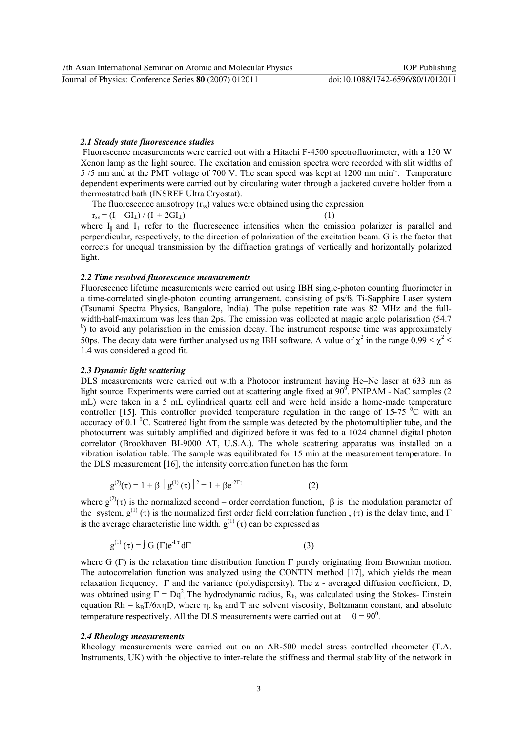## *2.1 Steady state fluorescence studies*

Fluorescence measurements were carried out with a Hitachi F-4500 spectrofluorimeter, with a 150 W Xenon lamp as the light source. The excitation and emission spectra were recorded with slit widths of 5 /5 nm and at the PMT voltage of 700 V. The scan speed was kept at 1200 nm min-1. Temperature dependent experiments were carried out by circulating water through a jacketed cuvette holder from a thermostatted bath (INSREF Ultra Cryostat).

The fluorescence anisotropy  $(r_{ss})$  values were obtained using the expression

 $r_{ss} = (I_{\parallel} - GI_{\perp}) / (I_{\parallel} + 2GI_{\perp})$  (1) where I<sub>||</sub> and I<sub>⊥</sub> refer to the fluorescence intensities when the emission polarizer is parallel and perpendicular, respectively, to the direction of polarization of the excitation beam. G is the factor that corrects for unequal transmission by the diffraction gratings of vertically and horizontally polarized light.

### *2.2 Time resolved fluorescence measurements*

Fluorescence lifetime measurements were carried out using IBH single-photon counting fluorimeter in a time-correlated single-photon counting arrangement, consisting of ps/fs Ti-Sapphire Laser system (Tsunami Spectra Physics, Bangalore, India). The pulse repetition rate was 82 MHz and the fullwidth-half-maximum was less than 2ps. The emission was collected at magic angle polarisation (54.7  $<sup>0</sup>$ ) to avoid any polarisation in the emission decay. The instrument response time was approximately</sup> 50ps. The decay data were further analysed using IBH software. A value of  $\chi^2$  in the range  $0.99 \le \chi^2 \le$ 1.4 was considered a good fit.

### *2.3 Dynamic light scattering*

DLS measurements were carried out with a Photocor instrument having He–Ne laser at 633 nm as light source. Experiments were carried out at scattering angle fixed at  $90^\circ$ . PNIPAM - NaC samples (2) mL) were taken in a 5 mL cylindrical quartz cell and were held inside a home-made temperature controller [15]. This controller provided temperature regulation in the range of 15-75  $\mathrm{^0C}$  with an accuracy of 0.1  $^{\circ}$ C. Scattered light from the sample was detected by the photomultiplier tube, and the photocurrent was suitably amplified and digitized before it was fed to a 1024 channel digital photon correlator (Brookhaven BI-9000 AT, U.S.A.). The whole scattering apparatus was installed on a vibration isolation table. The sample was equilibrated for 15 min at the measurement temperature. In the DLS measurement [16], the intensity correlation function has the form

$$
g^{(2)}(\tau) = 1 + \beta |g^{(1)}(\tau)|^2 = 1 + \beta e^{-2\Gamma \tau}
$$
 (2)

where  $g^{(2)}(\tau)$  is the normalized second – order correlation function,  $\beta$  is the modulation parameter of the system,  $g^{(1)}$  (τ) is the normalized first order field correlation function , (τ) is the delay time, and Γ is the average characteristic line width.  $g^{(1)}(\tau)$  can be expressed as

$$
g^{(1)}(\tau) = \int G(\Gamma)e^{-\Gamma \tau} d\Gamma
$$
 (3)

where G (Γ) is the relaxation time distribution function  $\Gamma$  purely originating from Brownian motion. The autocorrelation function was analyzed using the CONTIN method [17], which yields the mean relaxation frequency,  $\Gamma$  and the variance (polydispersity). The z - averaged diffusion coefficient, D, was obtained using  $\Gamma = Dq^2$ . The hydrodynamic radius,  $R_h$ , was calculated using the Stokes-Einstein equation Rh =  $k_B T/6\pi\eta D$ , where  $\eta$ ,  $k_B$  and T are solvent viscosity, Boltzmann constant, and absolute temperature respectively. All the DLS measurements were carried out at  $\theta = 90^\circ$ .

### *2.4 Rheology measurements*

Rheology measurements were carried out on an AR-500 model stress controlled rheometer (T.A. Instruments, UK) with the objective to inter-relate the stiffness and thermal stability of the network in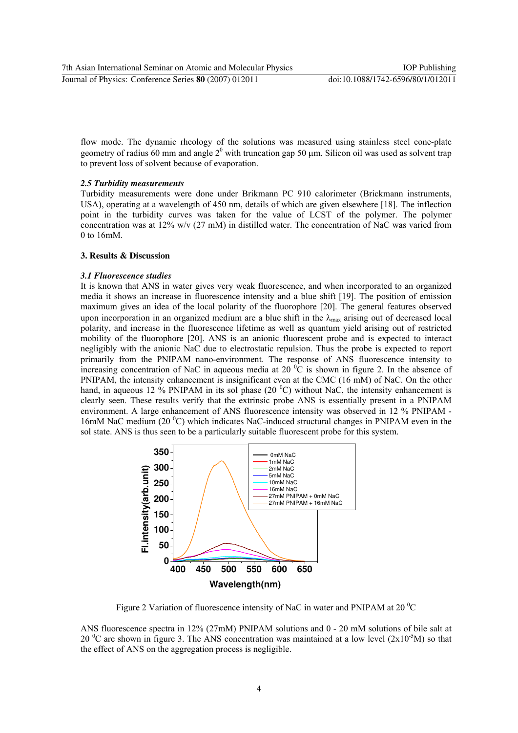flow mode. The dynamic rheology of the solutions was measured using stainless steel cone-plate geometry of radius 60 mm and angle  $2^0$  with truncation gap 50  $\mu$ m. Silicon oil was used as solvent trap to prevent loss of solvent because of evaporation.

# *2.5 Turbidity measurements*

Turbidity measurements were done under Brikmann PC 910 calorimeter (Brickmann instruments, USA), operating at a wavelength of 450 nm, details of which are given elsewhere [18]. The inflection point in the turbidity curves was taken for the value of LCST of the polymer. The polymer concentration was at 12% w/v (27 mM) in distilled water. The concentration of NaC was varied from 0 to 16mM.

# **3. Results & Discussion**

# *3.1 Fluorescence studies*

It is known that ANS in water gives very weak fluorescence, and when incorporated to an organized media it shows an increase in fluorescence intensity and a blue shift [19]. The position of emission maximum gives an idea of the local polarity of the fluorophore [20]. The general features observed upon incorporation in an organized medium are a blue shift in the  $\lambda_{\text{max}}$  arising out of decreased local polarity, and increase in the fluorescence lifetime as well as quantum yield arising out of restricted mobility of the fluorophore [20]. ANS is an anionic fluorescent probe and is expected to interact negligibly with the anionic NaC due to electrostatic repulsion. Thus the probe is expected to report primarily from the PNIPAM nano-environment. The response of ANS fluorescence intensity to increasing concentration of NaC in aqueous media at 20  $\rm{^0C}$  is shown in figure 2. In the absence of PNIPAM, the intensity enhancement is insignificant even at the CMC (16 mM) of NaC. On the other hand, in aqueous 12 % PNIPAM in its sol phase (20  $^{\circ}$ C) without NaC, the intensity enhancement is clearly seen. These results verify that the extrinsic probe ANS is essentially present in a PNIPAM environment. A large enhancement of ANS fluorescence intensity was observed in 12 % PNIPAM - 16mM NaC medium (20 $\degree$ C) which indicates NaC-induced structural changes in PNIPAM even in the sol state. ANS is thus seen to be a particularly suitable fluorescent probe for this system.



Figure 2 Variation of fluorescence intensity of NaC in water and PNIPAM at 20 $\mathrm{^0C}$ 

ANS fluorescence spectra in 12% (27mM) PNIPAM solutions and 0 - 20 mM solutions of bile salt at 20  $\rm{^0C}$  are shown in figure 3. The ANS concentration was maintained at a low level (2x10<sup>-5</sup>M) so that the effect of ANS on the aggregation process is negligible.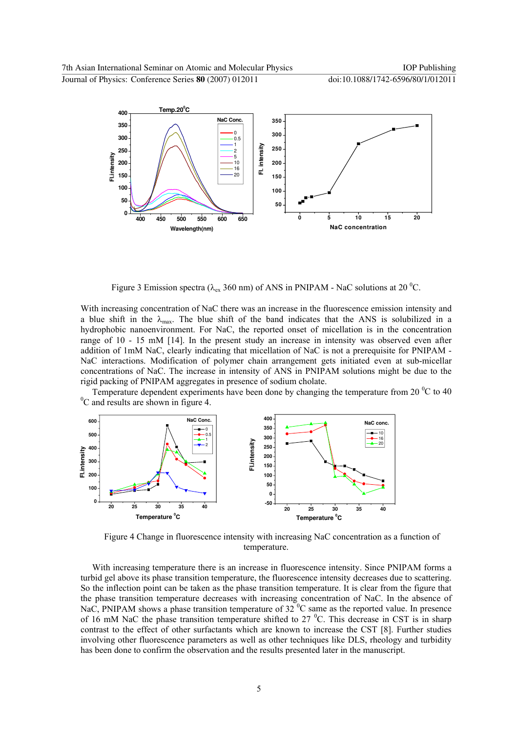

Figure 3 Emission spectra ( $\lambda_{ex}$  360 nm) of ANS in PNIPAM - NaC solutions at 20 <sup>o</sup>C.

With increasing concentration of NaC there was an increase in the fluorescence emission intensity and a blue shift in the  $\lambda_{\text{max}}$ . The blue shift of the band indicates that the ANS is solubilized in a hydrophobic nanoenvironment. For NaC, the reported onset of micellation is in the concentration range of 10 - 15 mM [14]. In the present study an increase in intensity was observed even after addition of 1mM NaC, clearly indicating that micellation of NaC is not a prerequisite for PNIPAM - NaC interactions. Modification of polymer chain arrangement gets initiated even at sub-micellar concentrations of NaC. The increase in intensity of ANS in PNIPAM solutions might be due to the rigid packing of PNIPAM aggregates in presence of sodium cholate.

Temperature dependent experiments have been done by changing the temperature from 20  $\rm{^0C}$  to 40  $\rm{^{0}C}$  and results are shown in figure 4.



Figure 4 Change in fluorescence intensity with increasing NaC concentration as a function of temperature.

With increasing temperature there is an increase in fluorescence intensity. Since PNIPAM forms a turbid gel above its phase transition temperature, the fluorescence intensity decreases due to scattering. So the inflection point can be taken as the phase transition temperature. It is clear from the figure that the phase transition temperature decreases with increasing concentration of NaC. In the absence of NaC, PNIPAM shows a phase transition temperature of  $32<sup>0</sup>C$  same as the reported value. In presence of 16 mM NaC the phase transition temperature shifted to  $27\degree$ C. This decrease in CST is in sharp contrast to the effect of other surfactants which are known to increase the CST [8]. Further studies involving other fluorescence parameters as well as other techniques like DLS, rheology and turbidity has been done to confirm the observation and the results presented later in the manuscript.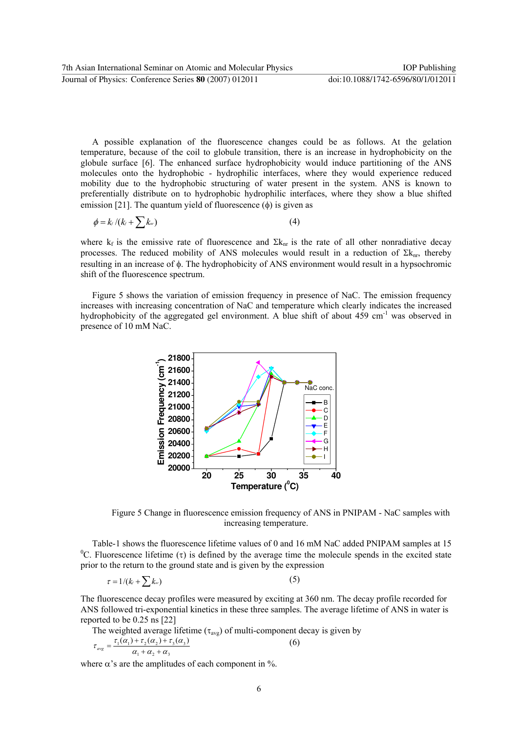A possible explanation of the fluorescence changes could be as follows. At the gelation temperature, because of the coil to globule transition, there is an increase in hydrophobicity on the globule surface [6]. The enhanced surface hydrophobicity would induce partitioning of the ANS molecules onto the hydrophobic - hydrophilic interfaces, where they would experience reduced mobility due to the hydrophobic structuring of water present in the system. ANS is known to preferentially distribute on to hydrophobic hydrophilic interfaces, where they show a blue shifted emission [21]. The quantum yield of fluorescence  $(\phi)$  is given as

$$
\phi = k_f / (k_f + \sum k_w) \tag{4}
$$

where  $k_f$  is the emissive rate of fluorescence and  $\Sigma k_{nr}$  is the rate of all other nonradiative decay processes. The reduced mobility of ANS molecules would result in a reduction of  $\Sigma k_{nr}$ , thereby resulting in an increase of φ. The hydrophobicity of ANS environment would result in a hypsochromic shift of the fluorescence spectrum.

Figure 5 shows the variation of emission frequency in presence of NaC. The emission frequency increases with increasing concentration of NaC and temperature which clearly indicates the increased hydrophobicity of the aggregated gel environment. A blue shift of about 459 cm<sup>-1</sup> was observed in presence of 10 mM NaC.



Figure 5 Change in fluorescence emission frequency of ANS in PNIPAM - NaC samples with increasing temperature.

Table-1 shows the fluorescence lifetime values of 0 and 16 mM NaC added PNIPAM samples at 15 <sup>0</sup>C. Fluorescence lifetime (τ) is defined by the average time the molecule spends in the excited state prior to the return to the ground state and is given by the expression

$$
\tau = 1/(k_f + \sum k_{nr})
$$
\n(5)

The fluorescence decay profiles were measured by exciting at 360 nm. The decay profile recorded for ANS followed tri-exponential kinetics in these three samples. The average lifetime of ANS in water is reported to be 0.25 ns [22]

The weighted average lifetime ( $\tau_{avg}$ ) of multi-component decay is given by

$$
\tau_{\text{avg}} = \frac{\tau_1(\alpha_1) + \tau_2(\alpha_2) + \tau_3(\alpha_3)}{\alpha_1 + \alpha_2 + \alpha_3} \tag{6}
$$

where  $\alpha$ 's are the amplitudes of each component in %.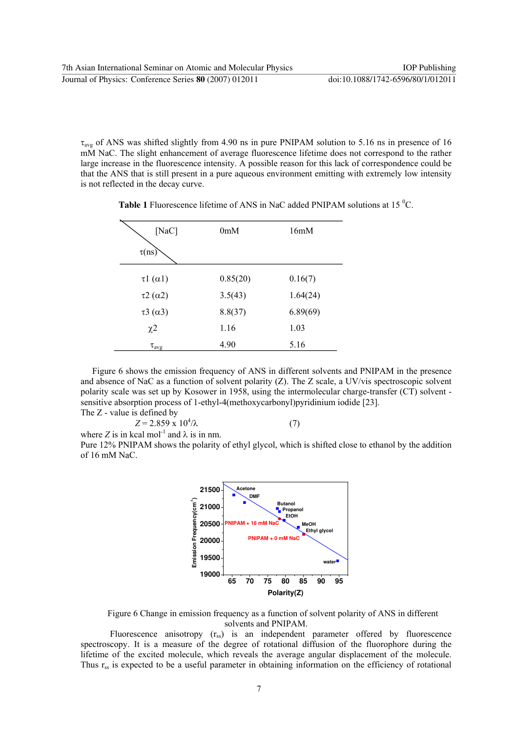$\tau_{avg}$  of ANS was shifted slightly from 4.90 ns in pure PNIPAM solution to 5.16 ns in presence of 16 mM NaC. The slight enhancement of average fluorescence lifetime does not correspond to the rather large increase in the fluorescence intensity. A possible reason for this lack of correspondence could be that the ANS that is still present in a pure aqueous environment emitting with extremely low intensity is not reflected in the decay curve.

| [NaC]                  | 0 <sub>m</sub> M | 16mM     |
|------------------------|------------------|----------|
| $\tau$ (ns)            |                  |          |
| $\tau$ 1 ( $\alpha$ 1) | 0.85(20)         | 0.16(7)  |
| $\tau$ 2 ( $\alpha$ 2) | 3.5(43)          | 1.64(24) |
| $\tau$ 3 ( $\alpha$ 3) | 8.8(37)          | 6.89(69) |
| $\chi$ <sup>2</sup>    | 1.16             | 1.03     |
| $\tau_{avg}$           | 4.90             | 5.16     |

Table 1 Fluorescence lifetime of ANS in NaC added PNIPAM solutions at 15<sup>°</sup>C.

Figure 6 shows the emission frequency of ANS in different solvents and PNIPAM in the presence and absence of NaC as a function of solvent polarity  $(Z)$ . The Z scale, a UV/vis spectroscopic solvent polarity scale was set up by Kosower in 1958, using the intermolecular charge-transfer (CT) solvent sensitive absorption process of 1-ethyl-4(methoxycarbonyl)pyridinium iodide [23]. The Z - value is defined by

| $\sigma$ - value is defined by  |  |
|---------------------------------|--|
| $Z = 2.859 \times 10^4/\lambda$ |  |
|                                 |  |

where *Z* is in kcal mol<sup>-1</sup> and  $\lambda$  is in nm.

Pure 12% PNIPAM shows the polarity of ethyl glycol, which is shifted close to ethanol by the addition of 16 mM NaC.



 Figure 6 Change in emission frequency as a function of solvent polarity of ANS in different solvents and PNIPAM.

Fluorescence anisotropy (r<sub>ss</sub>) is an independent parameter offered by fluorescence spectroscopy. It is a measure of the degree of rotational diffusion of the fluorophore during the lifetime of the excited molecule, which reveals the average angular displacement of the molecule. Thus  $r_{ss}$  is expected to be a useful parameter in obtaining information on the efficiency of rotational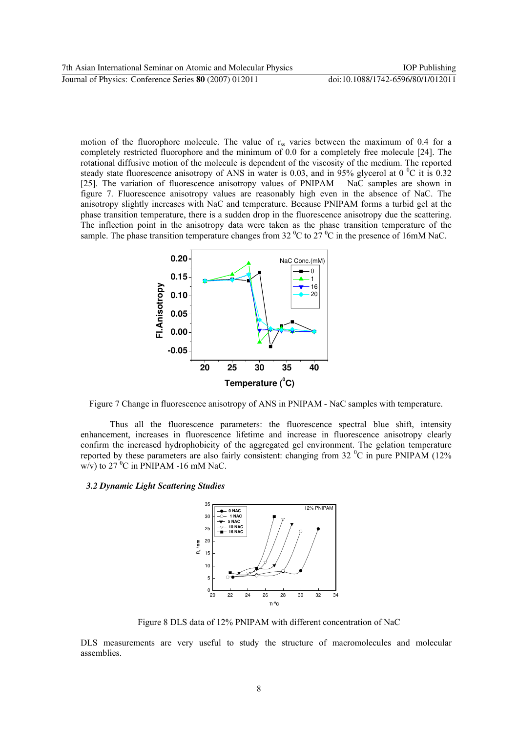motion of the fluorophore molecule. The value of  $r_{ss}$  varies between the maximum of 0.4 for a completely restricted fluorophore and the minimum of 0.0 for a completely free molecule [24]. The rotational diffusive motion of the molecule is dependent of the viscosity of the medium. The reported steady state fluorescence anisotropy of ANS in water is 0.03, and in 95% glycerol at 0  $\rm{^0C}$  it is 0.32 [25]. The variation of fluorescence anisotropy values of PNIPAM – NaC samples are shown in figure 7. Fluorescence anisotropy values are reasonably high even in the absence of NaC. The anisotropy slightly increases with NaC and temperature. Because PNIPAM forms a turbid gel at the phase transition temperature, there is a sudden drop in the fluorescence anisotropy due the scattering. The inflection point in the anisotropy data were taken as the phase transition temperature of the sample. The phase transition temperature changes from  $32\text{ °C}$  to  $27\text{ °C}$  in the presence of 16mM NaC.



Figure 7 Change in fluorescence anisotropy of ANS in PNIPAM - NaC samples with temperature.

Thus all the fluorescence parameters: the fluorescence spectral blue shift, intensity enhancement, increases in fluorescence lifetime and increase in fluorescence anisotropy clearly confirm the increased hydrophobicity of the aggregated gel environment. The gelation temperature reported by these parameters are also fairly consistent: changing from  $32 \degree$ C in pure PNIPAM (12%)  $w/v$ ) to 27<sup> $0$ </sup>C in PNIPAM -16 mM NaC.

# *3.2 Dynamic Light Scattering Studies*



Figure 8 DLS data of 12% PNIPAM with different concentration of NaC

DLS measurements are very useful to study the structure of macromolecules and molecular assemblies.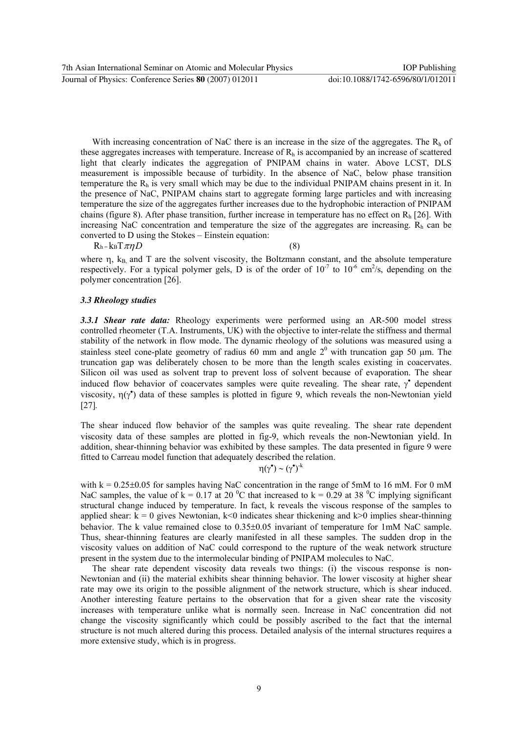With increasing concentration of NaC there is an increase in the size of the aggregates. The  $R_h$  of these aggregates increases with temperature. Increase of  $R<sub>h</sub>$  is accompanied by an increase of scattered light that clearly indicates the aggregation of PNIPAM chains in water. Above LCST, DLS measurement is impossible because of turbidity. In the absence of NaC, below phase transition temperature the  $R_h$  is very small which may be due to the individual PNIPAM chains present in it. In the presence of NaC, PNIPAM chains start to aggregate forming large particles and with increasing temperature the size of the aggregates further increases due to the hydrophobic interaction of PNIPAM chains (figure 8). After phase transition, further increase in temperature has no effect on  $R_h$  [26]. With increasing NaC concentration and temperature the size of the aggregates are increasing.  $R<sub>h</sub>$  can be converted to D using the Stokes – Einstein equation:

 $R_h = k_B T \pi \eta D$  (8)

where  $\eta$ ,  $k_B$  and T are the solvent viscosity, the Boltzmann constant, and the absolute temperature respectively. For a typical polymer gels, D is of the order of  $10^{-7}$  to  $10^{-6}$  cm<sup>2</sup>/s, depending on the polymer concentration [26].

### *3.3 Rheology studies*

*3.3.1 Shear rate data:* Rheology experiments were performed using an AR-500 model stress controlled rheometer (T.A. Instruments, UK) with the objective to inter-relate the stiffness and thermal stability of the network in flow mode. The dynamic rheology of the solutions was measured using a stainless steel cone-plate geometry of radius 60 mm and angle  $2^0$  with truncation gap 50  $\mu$ m. The truncation gap was deliberately chosen to be more than the length scales existing in coacervates. Silicon oil was used as solvent trap to prevent loss of solvent because of evaporation. The shear induced flow behavior of coacervates samples were quite revealing. The shear rate,  $\gamma^*$  dependent viscosity,  $\eta(\gamma^*)$  data of these samples is plotted in figure 9, which reveals the non-Newtonian yield [27]*.* 

The shear induced flow behavior of the samples was quite revealing. The shear rate dependent viscosity data of these samples are plotted in fig-9, which reveals the non-Newtonian yield. In addition, shear-thinning behavior was exhibited by these samples. The data presented in figure 9 were fitted to Carreau model function that adequately described the relation.

# $\eta(\gamma^\bullet) \sim (\gamma^\bullet)^{-k}$

with  $k = 0.25 \pm 0.05$  for samples having NaC concentration in the range of 5mM to 16 mM. For 0 mM NaC samples, the value of  $k = 0.17$  at 20 °C that increased to  $k = 0.29$  at 38 °C implying significant structural change induced by temperature. In fact, k reveals the viscous response of the samples to applied shear:  $k = 0$  gives Newtonian,  $k < 0$  indicates shear thickening and  $k > 0$  implies shear-thinning behavior. The k value remained close to 0.35±0.05 invariant of temperature for 1mM NaC sample. Thus, shear-thinning features are clearly manifested in all these samples. The sudden drop in the viscosity values on addition of NaC could correspond to the rupture of the weak network structure present in the system due to the intermolecular binding of PNIPAM molecules to NaC.

The shear rate dependent viscosity data reveals two things: (i) the viscous response is non-Newtonian and (ii) the material exhibits shear thinning behavior. The lower viscosity at higher shear rate may owe its origin to the possible alignment of the network structure, which is shear induced. Another interesting feature pertains to the observation that for a given shear rate the viscosity increases with temperature unlike what is normally seen. Increase in NaC concentration did not change the viscosity significantly which could be possibly ascribed to the fact that the internal structure is not much altered during this process. Detailed analysis of the internal structures requires a more extensive study, which is in progress.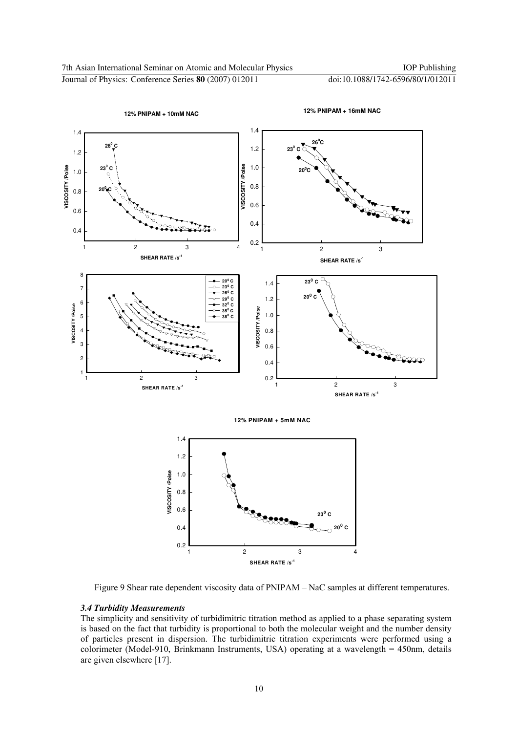Journal of Physics: Conference Series 80 (2007) 012011





Figure 9 Shear rate dependent viscosity data of PNIPAM – NaC samples at different temperatures.

**SHEAR RATE /s-1**

#### *3.4 Turbidity Measurements*

The simplicity and sensitivity of turbidimitric titration method as applied to a phase separating system is based on the fact that turbidity is proportional to both the molecular weight and the number density of particles present in dispersion. The turbidimitric titration experiments were performed using a colorimeter (Model-910, Brinkmann Instruments, USA) operating at a wavelength = 450nm, details are given elsewhere [17].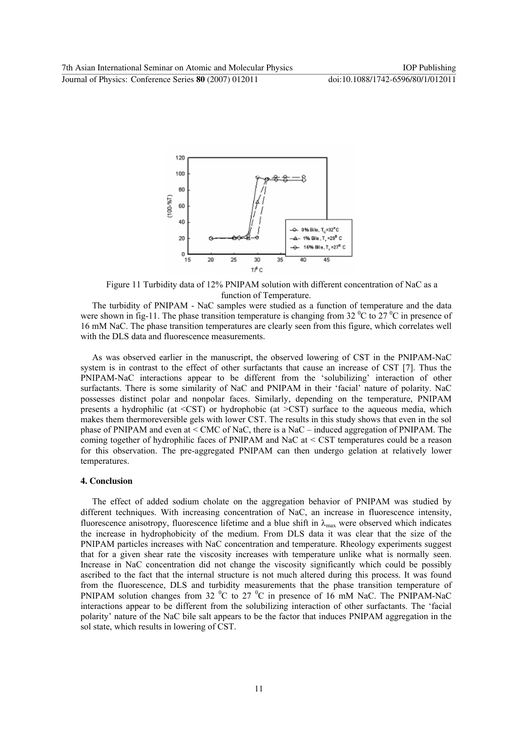

Figure 11 Turbidity data of 12% PNIPAM solution with different concentration of NaC as a function of Temperature.

The turbidity of PNIPAM - NaC samples were studied as a function of temperature and the data were shown in fig-11. The phase transition temperature is changing from 32  $\rm{^0C}$  to 27  $\rm{^0C}$  in presence of 16 mM NaC. The phase transition temperatures are clearly seen from this figure, which correlates well with the DLS data and fluorescence measurements.

As was observed earlier in the manuscript, the observed lowering of CST in the PNIPAM-NaC system is in contrast to the effect of other surfactants that cause an increase of CST [7]. Thus the PNIPAM-NaC interactions appear to be different from the 'solubilizing' interaction of other surfactants. There is some similarity of NaC and PNIPAM in their 'facial' nature of polarity. NaC possesses distinct polar and nonpolar faces. Similarly, depending on the temperature, PNIPAM presents a hydrophilic (at <CST) or hydrophobic (at >CST) surface to the aqueous media, which makes them thermoreversible gels with lower CST. The results in this study shows that even in the sol phase of PNIPAM and even at < CMC of NaC, there is a NaC – induced aggregation of PNIPAM. The coming together of hydrophilic faces of PNIPAM and NaC at < CST temperatures could be a reason for this observation. The pre-aggregated PNIPAM can then undergo gelation at relatively lower temperatures.

## **4. Conclusion**

The effect of added sodium cholate on the aggregation behavior of PNIPAM was studied by different techniques. With increasing concentration of NaC, an increase in fluorescence intensity, fluorescence anisotropy, fluorescence lifetime and a blue shift in  $\lambda_{\text{max}}$  were observed which indicates the increase in hydrophobicity of the medium. From DLS data it was clear that the size of the PNIPAM particles increases with NaC concentration and temperature. Rheology experiments suggest that for a given shear rate the viscosity increases with temperature unlike what is normally seen. Increase in NaC concentration did not change the viscosity significantly which could be possibly ascribed to the fact that the internal structure is not much altered during this process. It was found from the fluorescence, DLS and turbidity measurements that the phase transition temperature of PNIPAM solution changes from 32  $^{\circ}$ C to 27  $^{\circ}$ C in presence of 16 mM NaC. The PNIPAM-NaC interactions appear to be different from the solubilizing interaction of other surfactants. The 'facial polarity' nature of the NaC bile salt appears to be the factor that induces PNIPAM aggregation in the sol state, which results in lowering of CST.